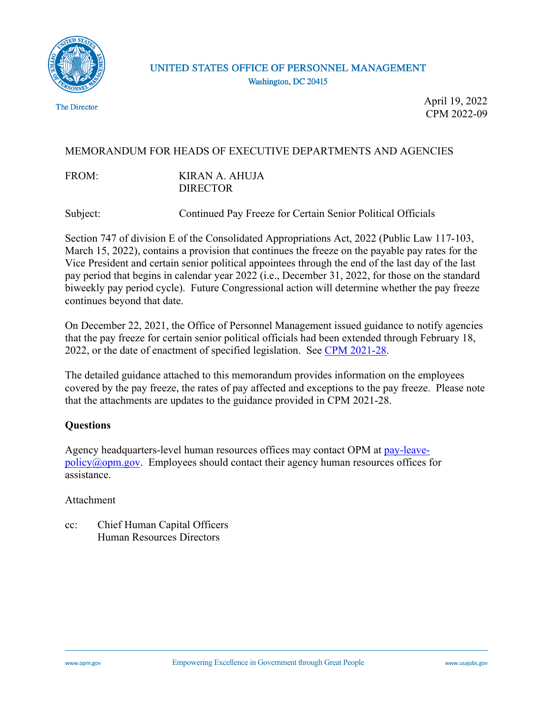

## UNITED STATES OFFICE OF PERSONNEL MANAGEMENT Washington, DC 20415

The Director

April 19, 2022 CPM 2022-09

## MEMORANDUM FOR HEADS OF EXECUTIVE DEPARTMENTS AND AGENCIES

FROM: KIRAN A. AHUJA DIRECTOR

Subject: Continued Pay Freeze for Certain Senior Political Officials

Section 747 of division E of the Consolidated Appropriations Act, 2022 (Public Law 117-103, March 15, 2022), contains a provision that continues the freeze on the payable pay rates for the Vice President and certain senior political appointees through the end of the last day of the last pay period that begins in calendar year 2022 (i.e., December 31, 2022, for those on the standard biweekly pay period cycle). Future Congressional action will determine whether the pay freeze continues beyond that date.

On December 22, 2021, the Office of Personnel Management issued guidance to notify agencies that the pay freeze for certain senior political officials had been extended through February 18, 2022, or the date of enactment of specified legislation. See [CPM 2021-28.](https://www.chcoc.gov/content/continued-pay-freeze-certain-senior-political-officials-5)

The detailed guidance attached to this memorandum provides information on the employees covered by the pay freeze, the rates of pay affected and exceptions to the pay freeze. Please note that the attachments are updates to the guidance provided in CPM 2021-28.

### **Questions**

Agency headquarters-level human resources offices may contact OPM at [pay-leave](mailto:pay-leave-policy@opm.gov) $policy@opm.gov$ . Employees should contact their agency human resources offices for assistance.

### Attachment

cc: Chief Human Capital Officers Human Resources Directors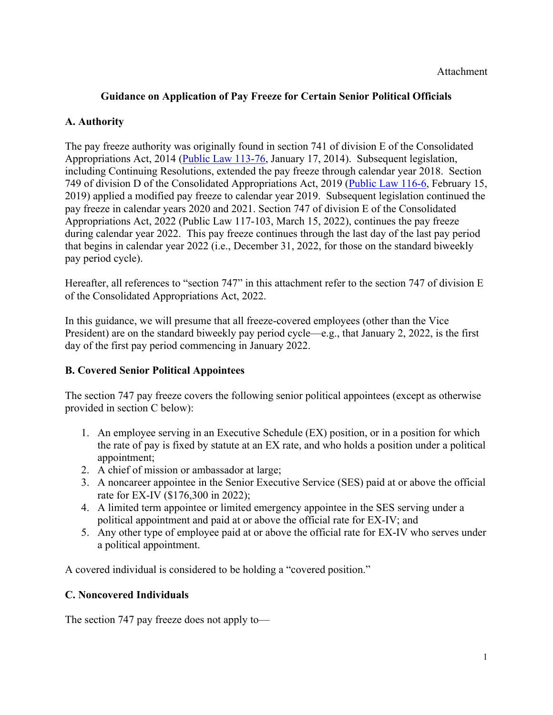## **Guidance on Application of Pay Freeze for Certain Senior Political Officials**

## **A. Authority**

The pay freeze authority was originally found in section 741 of division E of the Consolidated Appropriations Act, 2014 ([Public Law 113-76,](https://www.congress.gov/113/plaws/publ76/PLAW-113publ76.pdf) January 17, 2014). Subsequent legislation, including Continuing Resolutions, extended the pay freeze through calendar year 2018. Section 749 of division D of the Consolidated Appropriations Act, 2019 [\(Public Law 116-6,](https://www.congress.gov/116/plaws/publ6/PLAW-116publ6.pdf) February 15, 2019) applied a modified pay freeze to calendar year 2019. Subsequent legislation continued the pay freeze in calendar years 2020 and 2021. Section 747 of division E of the Consolidated Appropriations Act, 2022 (Public Law 117-103, March 15, 2022), continues the pay freeze during calendar year 2022. This pay freeze continues through the last day of the last pay period that begins in calendar year 2022 (i.e., December 31, 2022, for those on the standard biweekly pay period cycle).

Hereafter, all references to "section 747" in this attachment refer to the section 747 of division E of the Consolidated Appropriations Act, 2022.

In this guidance, we will presume that all freeze-covered employees (other than the Vice President) are on the standard biweekly pay period cycle—e.g., that January 2, 2022, is the first day of the first pay period commencing in January 2022.

## **B. Covered Senior Political Appointees**

The section 747 pay freeze covers the following senior political appointees (except as otherwise provided in section C below):

- 1. An employee serving in an Executive Schedule (EX) position, or in a position for which the rate of pay is fixed by statute at an EX rate, and who holds a position under a political appointment;
- 2. A chief of mission or ambassador at large;
- 3. A noncareer appointee in the Senior Executive Service (SES) paid at or above the official rate for EX-IV (\$176,300 in 2022);
- 4. A limited term appointee or limited emergency appointee in the SES serving under a political appointment and paid at or above the official rate for EX-IV; and
- 5. Any other type of employee paid at or above the official rate for EX-IV who serves under a political appointment.

A covered individual is considered to be holding a "covered position."

## **C. Noncovered Individuals**

The section 747 pay freeze does not apply to—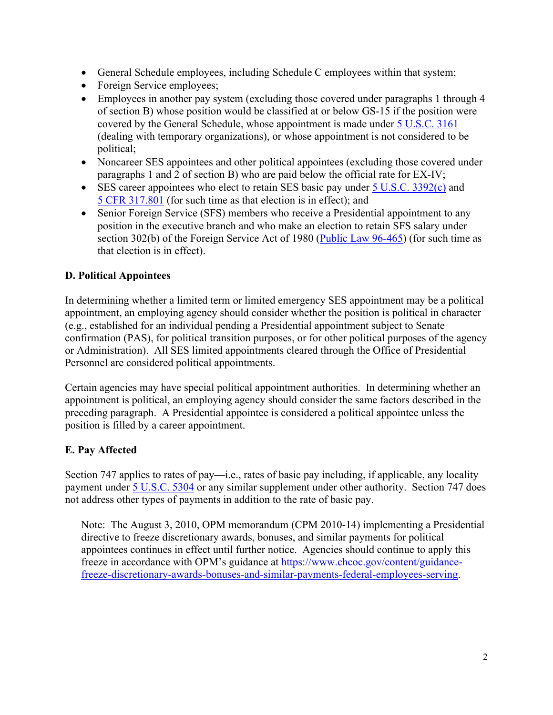- General Schedule employees, including Schedule C employees within that system;
- Foreign Service employees;
- Employees in another pay system (excluding those covered under paragraphs 1 through 4 of section B) whose position would be classified at or below GS-15 if the position were covered by the General Schedule, whose appointment is made under [5 U.S.C. 3161](https://uscode.house.gov/view.xhtml?req=(title:5%20section:3161%20edition:prelim)%20OR%20(granuleid:USC-prelim-title5-section3161)&f=treesort&edition=prelim&num=0&jumpTo=true)  (dealing with temporary organizations), or whose appointment is not considered to be political;
- Noncareer SES appointees and other political appointees (excluding those covered under paragraphs 1 and 2 of section B) who are paid below the official rate for EX-IV;
- SES career appointees who elect to retain SES basic pay under  $5$  U.S.C. 3392(c) and [5 CFR 317.801](https://www.ecfr.gov/cgi-bin/text-idx?SID=39790d84ebf8b97e1e0d3401f56fc8f3&mc=true&node=pt5.1.317&rgn=div5#se5.1.317_1801) (for such time as that election is in effect); and
- Senior Foreign Service (SFS) members who receive a Presidential appointment to any position in the executive branch and who make an election to retain SFS salary under section 302(b) of the Foreign Service Act of 1980 (Public Law  $96-465$ ) (for such time as that election is in effect).

## **D. Political Appointees**

In determining whether a limited term or limited emergency SES appointment may be a political appointment, an employing agency should consider whether the position is political in character (e.g., established for an individual pending a Presidential appointment subject to Senate confirmation (PAS), for political transition purposes, or for other political purposes of the agency or Administration). All SES limited appointments cleared through the Office of Presidential Personnel are considered political appointments.

Certain agencies may have special political appointment authorities. In determining whether an appointment is political, an employing agency should consider the same factors described in the preceding paragraph. A Presidential appointee is considered a political appointee unless the position is filled by a career appointment.

# **E. Pay Affected**

Section 747 applies to rates of pay—i.e., rates of basic pay including, if applicable, any locality payment under [5 U.S.C. 5304](https://uscode.house.gov/view.xhtml?req=(title:5%20section:5304%20edition:prelim)%20OR%20(granuleid:USC-prelim-title5-section5304)&f=treesort&edition=prelim&num=0&jumpTo=true) or any similar supplement under other authority. Section 747 does not address other types of payments in addition to the rate of basic pay.

Note: The August 3, 2010, OPM memorandum (CPM 2010-14) implementing a Presidential directive to freeze discretionary awards, bonuses, and similar payments for political appointees continues in effect until further notice. Agencies should continue to apply this freeze in accordance with OPM's guidance at [https://www.chcoc.gov/content/guidance](https://www.chcoc.gov/content/guidance-freeze-discretionary-awards-bonuses-and-similar-payments-federal-employees-serving)[freeze-discretionary-awards-bonuses-and-similar-payments-federal-employees-serving.](https://www.chcoc.gov/content/guidance-freeze-discretionary-awards-bonuses-and-similar-payments-federal-employees-serving)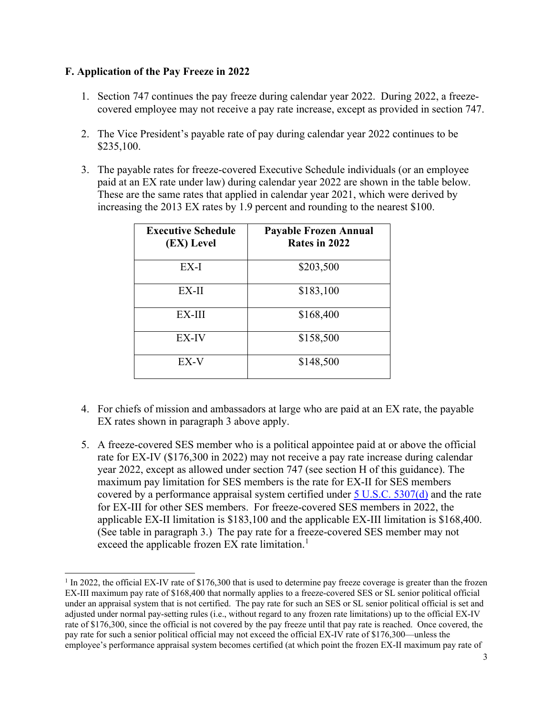## **F. Application of the Pay Freeze in 2022**

- 1. Section 747 continues the pay freeze during calendar year 2022. During 2022, a freezecovered employee may not receive a pay rate increase, except as provided in section 747.
- 2. The Vice President's payable rate of pay during calendar year 2022 continues to be \$235,100.
- 3. The payable rates for freeze-covered Executive Schedule individuals (or an employee paid at an EX rate under law) during calendar year 2022 are shown in the table below. These are the same rates that applied in calendar year 2021, which were derived by increasing the 2013 EX rates by 1.9 percent and rounding to the nearest \$100.

| <b>Executive Schedule</b><br>(EX) Level | <b>Payable Frozen Annual</b><br>Rates in 2022 |
|-----------------------------------------|-----------------------------------------------|
| EX-I                                    | \$203,500                                     |
| EX-II                                   | \$183,100                                     |
| EX-III                                  | \$168,400                                     |
| EX-IV                                   | \$158,500                                     |
| EX-V                                    | \$148,500                                     |

- 4. For chiefs of mission and ambassadors at large who are paid at an EX rate, the payable EX rates shown in paragraph 3 above apply.
- 5. A freeze-covered SES member who is a political appointee paid at or above the official rate for EX-IV (\$176,300 in 2022) may not receive a pay rate increase during calendar year 2022, except as allowed under section 747 (see section H of this guidance). The maximum pay limitation for SES members is the rate for EX-II for SES members covered by a performance appraisal system certified under  $5$  U.S.C.  $5307(d)$  and the rate for EX-III for other SES members. For freeze-covered SES members in 2022, the applicable EX-II limitation is \$183,100 and the applicable EX-III limitation is \$168,400. (See table in paragraph 3.) The pay rate for a freeze-covered SES member may not exceed the applicable frozen EX rate limitation.<sup>1</sup>

 $1 \text{ In } 2022$ , the official EX-IV rate of \$176,300 that is used to determine pay freeze coverage is greater than the frozen EX-III maximum pay rate of \$168,400 that normally applies to a freeze-covered SES or SL senior political official under an appraisal system that is not certified. The pay rate for such an SES or SL senior political official is set and adjusted under normal pay-setting rules (i.e., without regard to any frozen rate limitations) up to the official EX-IV rate of \$176,300, since the official is not covered by the pay freeze until that pay rate is reached. Once covered, the pay rate for such a senior political official may not exceed the official EX-IV rate of \$176,300—unless the employee's performance appraisal system becomes certified (at which point the frozen EX-II maximum pay rate of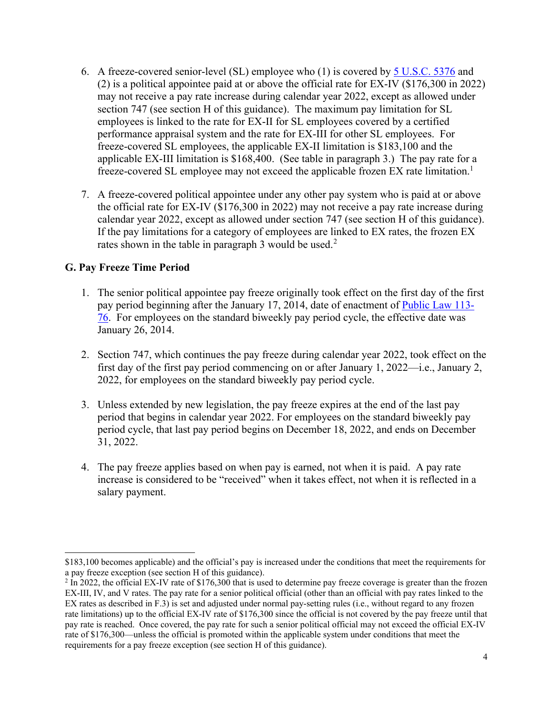- 6. A freeze-covered senior-level (SL) employee who (1) is covered by [5 U.S.C. 5376](https://uscode.house.gov/view.xhtml?req=(title:5%20section:5376%20edition:prelim)%20OR%20(granuleid:USC-prelim-title5-section5376)&f=treesort&edition=prelim&num=0&jumpTo=true) and (2) is a political appointee paid at or above the official rate for EX-IV (\$176,300 in 2022) may not receive a pay rate increase during calendar year 2022, except as allowed under section 747 (see section H of this guidance). The maximum pay limitation for SL employees is linked to the rate for EX-II for SL employees covered by a certified performance appraisal system and the rate for EX-III for other SL employees. For freeze-covered SL employees, the applicable EX-II limitation is \$183,100 and the applicable EX-III limitation is \$168,400. (See table in paragraph 3.) The pay rate for a freeze-covered SL employee may not exceed the applicable frozen EX rate limitation.<sup>1</sup>
- 7. A freeze-covered political appointee under any other pay system who is paid at or above the official rate for EX-IV (\$176,300 in 2022) may not receive a pay rate increase during calendar year 2022, except as allowed under section 747 (see section H of this guidance). If the pay limitations for a category of employees are linked to EX rates, the frozen EX rates shown in the table in paragraph 3 would be used.<sup>2</sup>

## **G. Pay Freeze Time Period**

- 1. The senior political appointee pay freeze originally took effect on the first day of the first pay period beginning after the January 17, 2014, date of enactment of [Public Law 113-](https://www.congress.gov/113/plaws/publ76/PLAW-113publ76.pdf) [76.](https://www.congress.gov/113/plaws/publ76/PLAW-113publ76.pdf) For employees on the standard biweekly pay period cycle, the effective date was January 26, 2014.
- 2. Section 747, which continues the pay freeze during calendar year 2022, took effect on the first day of the first pay period commencing on or after January 1, 2022—i.e., January 2, 2022, for employees on the standard biweekly pay period cycle.
- 3. Unless extended by new legislation, the pay freeze expires at the end of the last pay period that begins in calendar year 2022. For employees on the standard biweekly pay period cycle, that last pay period begins on December 18, 2022, and ends on December 31, 2022.
- 4. The pay freeze applies based on when pay is earned, not when it is paid. A pay rate increase is considered to be "received" when it takes effect, not when it is reflected in a salary payment.

<sup>\$183,100</sup> becomes applicable) and the official's pay is increased under the conditions that meet the requirements for a pay freeze exception (see section H of this guidance).

 $2 \text{ In } 2022$ , the official EX-IV rate of \$176,300 that is used to determine pay freeze coverage is greater than the frozen EX-III, IV, and V rates. The pay rate for a senior political official (other than an official with pay rates linked to the EX rates as described in F.3) is set and adjusted under normal pay-setting rules (i.e., without regard to any frozen rate limitations) up to the official EX-IV rate of \$176,300 since the official is not covered by the pay freeze until that pay rate is reached. Once covered, the pay rate for such a senior political official may not exceed the official EX-IV rate of \$176,300—unless the official is promoted within the applicable system under conditions that meet the requirements for a pay freeze exception (see section H of this guidance).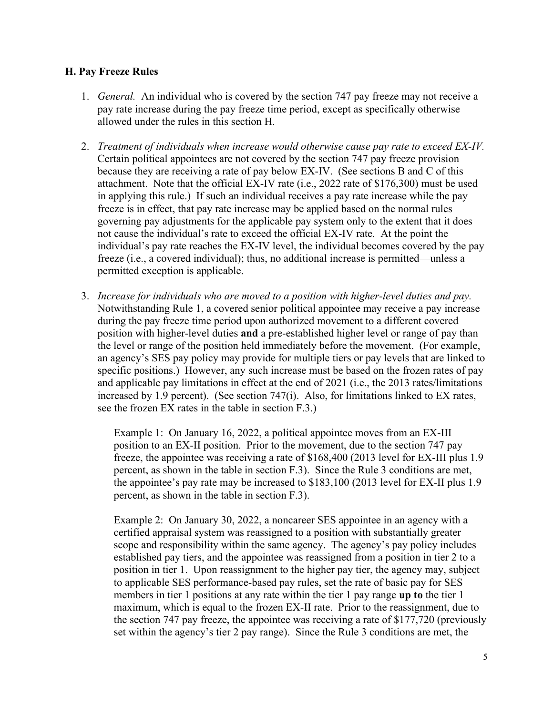### **H. Pay Freeze Rules**

- 1. *General.* An individual who is covered by the section 747 pay freeze may not receive a pay rate increase during the pay freeze time period, except as specifically otherwise allowed under the rules in this section H.
- 2. *Treatment of individuals when increase would otherwise cause pay rate to exceed EX-IV.*  Certain political appointees are not covered by the section 747 pay freeze provision because they are receiving a rate of pay below EX-IV. (See sections B and C of this attachment. Note that the official EX-IV rate (i.e., 2022 rate of \$176,300) must be used in applying this rule.) If such an individual receives a pay rate increase while the pay freeze is in effect, that pay rate increase may be applied based on the normal rules governing pay adjustments for the applicable pay system only to the extent that it does not cause the individual's rate to exceed the official EX-IV rate. At the point the individual's pay rate reaches the EX-IV level, the individual becomes covered by the pay freeze (i.e., a covered individual); thus, no additional increase is permitted—unless a permitted exception is applicable.
- 3. *Increase for individuals who are moved to a position with higher-level duties and pay.*  Notwithstanding Rule 1, a covered senior political appointee may receive a pay increase during the pay freeze time period upon authorized movement to a different covered position with higher-level duties **and** a pre-established higher level or range of pay than the level or range of the position held immediately before the movement. (For example, an agency's SES pay policy may provide for multiple tiers or pay levels that are linked to specific positions.) However, any such increase must be based on the frozen rates of pay and applicable pay limitations in effect at the end of 2021 (i.e., the 2013 rates/limitations increased by 1.9 percent). (See section 747(i). Also, for limitations linked to EX rates, see the frozen EX rates in the table in section F.3.)

Example 1: On January 16, 2022, a political appointee moves from an EX-III position to an EX-II position. Prior to the movement, due to the section 747 pay freeze, the appointee was receiving a rate of \$168,400 (2013 level for EX-III plus 1.9 percent, as shown in the table in section F.3). Since the Rule 3 conditions are met, the appointee's pay rate may be increased to \$183,100 (2013 level for EX-II plus 1.9 percent, as shown in the table in section F.3).

Example 2: On January 30, 2022, a noncareer SES appointee in an agency with a certified appraisal system was reassigned to a position with substantially greater scope and responsibility within the same agency. The agency's pay policy includes established pay tiers, and the appointee was reassigned from a position in tier 2 to a position in tier 1. Upon reassignment to the higher pay tier, the agency may, subject to applicable SES performance-based pay rules, set the rate of basic pay for SES members in tier 1 positions at any rate within the tier 1 pay range **up to** the tier 1 maximum, which is equal to the frozen EX-II rate. Prior to the reassignment, due to the section 747 pay freeze, the appointee was receiving a rate of \$177,720 (previously set within the agency's tier 2 pay range). Since the Rule 3 conditions are met, the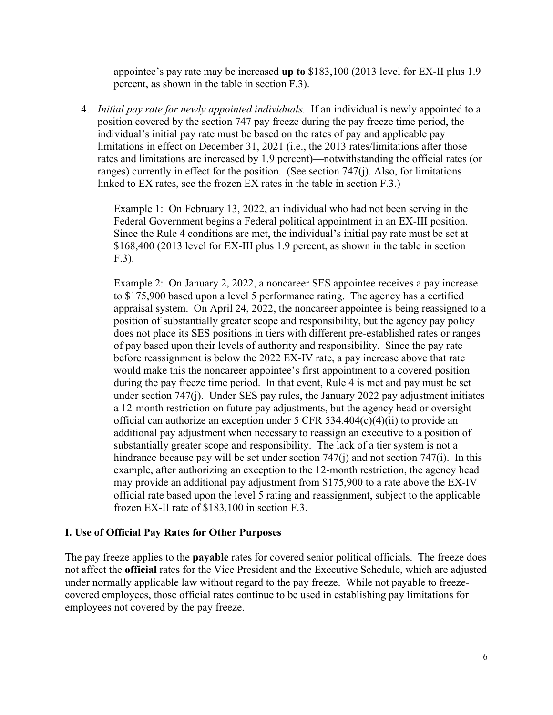appointee's pay rate may be increased **up to** \$183,100 (2013 level for EX-II plus 1.9 percent, as shown in the table in section F.3).

4. *Initial pay rate for newly appointed individuals.* If an individual is newly appointed to a position covered by the section 747 pay freeze during the pay freeze time period, the individual's initial pay rate must be based on the rates of pay and applicable pay limitations in effect on December 31, 2021 (i.e., the 2013 rates/limitations after those rates and limitations are increased by 1.9 percent)—notwithstanding the official rates (or ranges) currently in effect for the position. (See section 747(j). Also, for limitations linked to EX rates, see the frozen EX rates in the table in section F.3.)

Example 1: On February 13, 2022, an individual who had not been serving in the Federal Government begins a Federal political appointment in an EX-III position. Since the Rule 4 conditions are met, the individual's initial pay rate must be set at \$168,400 (2013 level for EX-III plus 1.9 percent, as shown in the table in section F.3).

Example 2: On January 2, 2022, a noncareer SES appointee receives a pay increase to \$175,900 based upon a level 5 performance rating. The agency has a certified appraisal system. On April 24, 2022, the noncareer appointee is being reassigned to a position of substantially greater scope and responsibility, but the agency pay policy does not place its SES positions in tiers with different pre-established rates or ranges of pay based upon their levels of authority and responsibility. Since the pay rate before reassignment is below the 2022 EX-IV rate, a pay increase above that rate would make this the noncareer appointee's first appointment to a covered position during the pay freeze time period. In that event, Rule 4 is met and pay must be set under section 747(j). Under SES pay rules, the January 2022 pay adjustment initiates a 12-month restriction on future pay adjustments, but the agency head or oversight official can authorize an exception under  $5$  CFR  $534.404(c)(4)(ii)$  to provide an additional pay adjustment when necessary to reassign an executive to a position of substantially greater scope and responsibility. The lack of a tier system is not a hindrance because pay will be set under section  $747(i)$  and not section  $747(i)$ . In this example, after authorizing an exception to the 12-month restriction, the agency head may provide an additional pay adjustment from \$175,900 to a rate above the EX-IV official rate based upon the level 5 rating and reassignment, subject to the applicable frozen EX-II rate of \$183,100 in section F.3.

#### **I. Use of Official Pay Rates for Other Purposes**

The pay freeze applies to the **payable** rates for covered senior political officials. The freeze does not affect the **official** rates for the Vice President and the Executive Schedule, which are adjusted under normally applicable law without regard to the pay freeze. While not payable to freezecovered employees, those official rates continue to be used in establishing pay limitations for employees not covered by the pay freeze.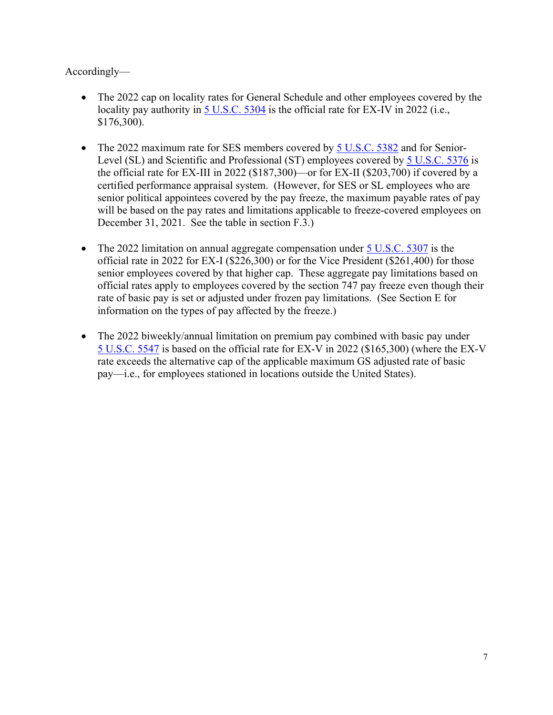Accordingly—

- The 2022 cap on locality rates for General Schedule and other employees covered by the locality pay authority in [5 U.S.C. 5304](https://uscode.house.gov/view.xhtml?req=(title:5%20section:5304%20edition:prelim)%20OR%20(granuleid:USC-prelim-title5-section5304)&f=treesort&edition=prelim&num=0&jumpTo=true) is the official rate for EX-IV in 2022 (i.e., \$176,300).
- The 2022 maximum rate for SES members covered by [5 U.S.C. 5382](https://uscode.house.gov/view.xhtml?req=(title:5%20section:5382%20edition:prelim)%20OR%20(granuleid:USC-prelim-title5-section5382)&f=treesort&edition=prelim&num=0&jumpTo=true) and for Senior-Level (SL) and Scientific and Professional (ST) employees covered by [5 U.S.C. 5376](https://uscode.house.gov/view.xhtml?req=(title:5%20section:5376%20edition:prelim)%20OR%20(granuleid:USC-prelim-title5-section5376)&f=treesort&edition=prelim&num=0&jumpTo=true) is the official rate for EX-III in 2022 (\$187,300)—or for EX-II (\$203,700) if covered by a certified performance appraisal system. (However, for SES or SL employees who are senior political appointees covered by the pay freeze, the maximum payable rates of pay will be based on the pay rates and limitations applicable to freeze-covered employees on December 31, 2021. See the table in section F.3.)
- The 2022 limitation on annual aggregate compensation under  $5 \text{ U.S.C. } 5307$  is the official rate in 2022 for EX-I (\$226,300) or for the Vice President (\$261,400) for those senior employees covered by that higher cap. These aggregate pay limitations based on official rates apply to employees covered by the section 747 pay freeze even though their rate of basic pay is set or adjusted under frozen pay limitations. (See Section E for information on the types of pay affected by the freeze.)
- The 2022 biweekly/annual limitation on premium pay combined with basic pay under [5 U.S.C. 5547](https://uscode.house.gov/view.xhtml?req=(title:5%20section:5547%20edition:prelim)%20OR%20(granuleid:USC-prelim-title5-section5547)&f=treesort&edition=prelim&num=0&jumpTo=true) is based on the official rate for EX-V in 2022 (\$165,300) (where the EX-V rate exceeds the alternative cap of the applicable maximum GS adjusted rate of basic pay—i.e., for employees stationed in locations outside the United States).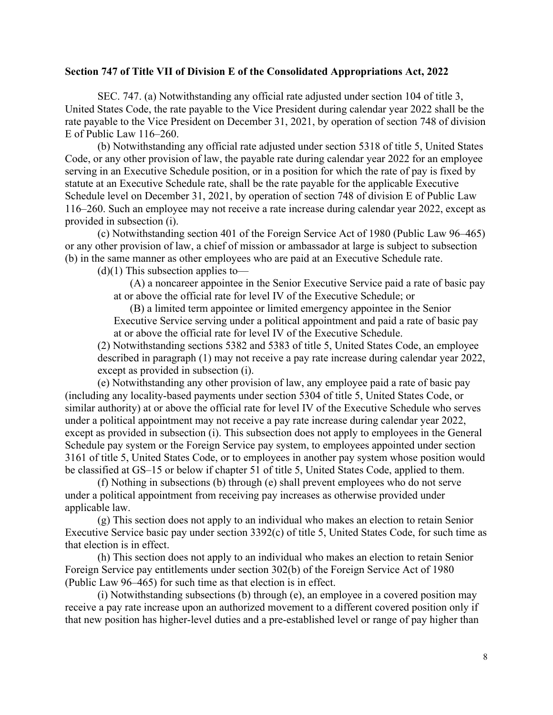#### **Section 747 of Title VII of Division E of the Consolidated Appropriations Act, 2022**

SEC. 747. (a) Notwithstanding any official rate adjusted under section 104 of title 3, United States Code, the rate payable to the Vice President during calendar year 2022 shall be the rate payable to the Vice President on December 31, 2021, by operation of section 748 of division E of Public Law 116–260.

(b) Notwithstanding any official rate adjusted under section 5318 of title 5, United States Code, or any other provision of law, the payable rate during calendar year 2022 for an employee serving in an Executive Schedule position, or in a position for which the rate of pay is fixed by statute at an Executive Schedule rate, shall be the rate payable for the applicable Executive Schedule level on December 31, 2021, by operation of section 748 of division E of Public Law 116–260. Such an employee may not receive a rate increase during calendar year 2022, except as provided in subsection (i).

(c) Notwithstanding section 401 of the Foreign Service Act of 1980 (Public Law 96–465) or any other provision of law, a chief of mission or ambassador at large is subject to subsection (b) in the same manner as other employees who are paid at an Executive Schedule rate.

 $(d)(1)$  This subsection applies to-

(A) a noncareer appointee in the Senior Executive Service paid a rate of basic pay at or above the official rate for level IV of the Executive Schedule; or

(B) a limited term appointee or limited emergency appointee in the Senior Executive Service serving under a political appointment and paid a rate of basic pay at or above the official rate for level IV of the Executive Schedule.

(2) Notwithstanding sections 5382 and 5383 of title 5, United States Code, an employee described in paragraph (1) may not receive a pay rate increase during calendar year 2022, except as provided in subsection (i).

(e) Notwithstanding any other provision of law, any employee paid a rate of basic pay (including any locality-based payments under section 5304 of title 5, United States Code, or similar authority) at or above the official rate for level IV of the Executive Schedule who serves under a political appointment may not receive a pay rate increase during calendar year 2022, except as provided in subsection (i). This subsection does not apply to employees in the General Schedule pay system or the Foreign Service pay system, to employees appointed under section 3161 of title 5, United States Code, or to employees in another pay system whose position would be classified at GS–15 or below if chapter 51 of title 5, United States Code, applied to them.

(f) Nothing in subsections (b) through (e) shall prevent employees who do not serve under a political appointment from receiving pay increases as otherwise provided under applicable law.

(g) This section does not apply to an individual who makes an election to retain Senior Executive Service basic pay under section 3392(c) of title 5, United States Code, for such time as that election is in effect.

(h) This section does not apply to an individual who makes an election to retain Senior Foreign Service pay entitlements under section 302(b) of the Foreign Service Act of 1980 (Public Law 96–465) for such time as that election is in effect.

(i) Notwithstanding subsections (b) through (e), an employee in a covered position may receive a pay rate increase upon an authorized movement to a different covered position only if that new position has higher-level duties and a pre-established level or range of pay higher than